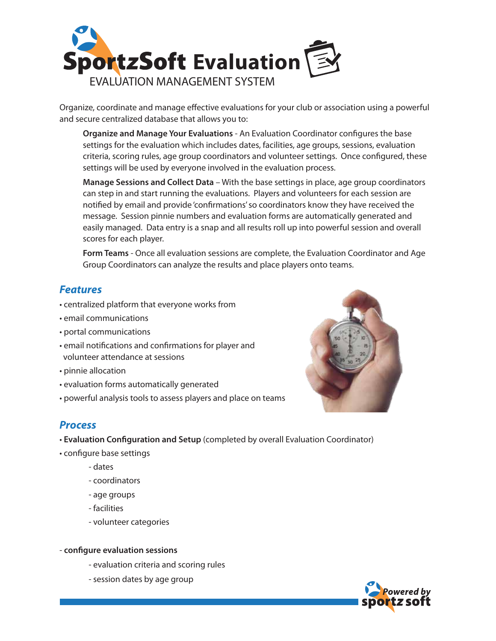

Organize, coordinate and manage effective evaluations for your club or association using a powerful and secure centralized database that allows you to:

**Organize and Manage Your Evaluations** - An Evaluation Coordinator configures the base settings for the evaluation which includes dates, facilities, age groups, sessions, evaluation criteria, scoring rules, age group coordinators and volunteer settings. Once configured, these settings will be used by everyone involved in the evaluation process.

**Manage Sessions and Collect Data** – With the base settings in place, age group coordinators can step in and start running the evaluations. Players and volunteers for each session are notified by email and provide 'confirmations' so coordinators know they have received the message. Session pinnie numbers and evaluation forms are automatically generated and easily managed. Data entry is a snap and all results roll up into powerful session and overall scores for each player.

**Form Teams** - Once all evaluation sessions are complete, the Evaluation Coordinator and Age Group Coordinators can analyze the results and place players onto teams.

## *Features*

- centralized platform that everyone works from
- email communications
- portal communications
- email notifications and confirmations for player and volunteer attendance at sessions
- pinnie allocation
- evaluation forms automatically generated
- powerful analysis tools to assess players and place on teams



## *Process*

- **Evaluation Conguration and Setup** (completed by overall Evaluation Coordinator)
- configure base settings
	- dates
	- coordinators
	- age groups
	- facilities
	- volunteer categories
- **congure evaluation sessions**
	- evaluation criteria and scoring rules
	- session dates by age group